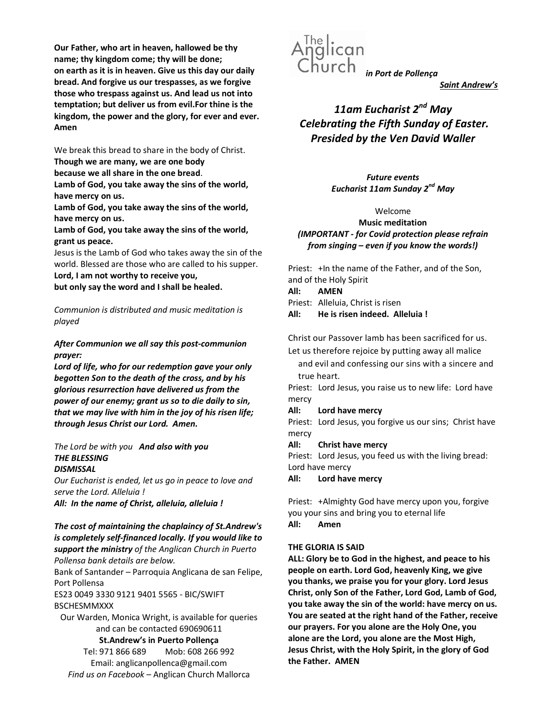Our Father, who art in heaven, hallowed be thy name; thy kingdom come; thy will be done; on earth as it is in heaven. Give us this day our daily bread. And forgive us our trespasses, as we forgive those who trespass against us. And lead us not into temptation; but deliver us from evil.For thine is the kingdom, the power and the glory, for ever and ever. Amen

We break this bread to share in the body of Christ. Though we are many, we are one body

because we all share in the one bread.

Lamb of God, you take away the sins of the world, have mercy on us.

Lamb of God, you take away the sins of the world, have mercy on us.

Lamb of God, you take away the sins of the world, grant us peace.

Jesus is the Lamb of God who takes away the sin of the world. Blessed are those who are called to his supper.

Lord, I am not worthy to receive you,

but only say the word and I shall be healed.

Communion is distributed and music meditation is played

## After Communion we all say this post-communion prayer:

Lord of life, who for our redemption gave your only begotten Son to the death of the cross, and by his glorious resurrection have delivered us from the power of our enemy; grant us so to die daily to sin, that we may live with him in the joy of his risen life; through Jesus Christ our Lord. Amen.

#### The Lord be with you And also with you THE BLESSING **DISMISSAL**

Our Eucharist is ended, let us go in peace to love and serve the Lord. Alleluia !

All: In the name of Christ, alleluia, alleluia !

## The cost of maintaining the chaplaincy of St.Andrew's is completely self-financed locally. If you would like to support the ministry of the Anglican Church in Puerto Pollensa bank details are below.

Bank of Santander – Parroquia Anglicana de san Felipe, Port Pollensa

ES23 0049 3330 9121 9401 5565 - BIC/SWIFT **BSCHESMMXXX** 

Our Warden, Monica Wright, is available for queries and can be contacted 690690611

St.Andrew's in Puerto Pollença

Tel: 971 866 689 Mob: 608 266 992 Email: anglicanpollenca@gmail.com Find us on Facebook – Anglican Church Mallorca



Saint Andrew's

# 11am Eucharist  $2^{nd}$  May Celebrating the Fifth Sunday of Easter. Presided by the Ven David Waller

Future events Eucharist 11am Sunday 2<sup>nd</sup> May

#### Welcome

Music meditation (IMPORTANT - for Covid protection please refrain from singing – even if you know the words!)

Priest: +In the name of the Father, and of the Son, and of the Holy Spirit

All: AMEN

Priest: Alleluia, Christ is risen

All: He is risen indeed. Alleluia !

Christ our Passover lamb has been sacrificed for us.

Let us therefore rejoice by putting away all malice

and evil and confessing our sins with a sincere and true heart.

Priest: Lord Jesus, you raise us to new life: Lord have mercy

All: Lord have mercy

Priest: Lord Jesus, you forgive us our sins; Christ have mercy

All: Christ have mercy

Priest: Lord Jesus, you feed us with the living bread: Lord have mercy

All: Lord have mercy

Priest: +Almighty God have mercy upon you, forgive you your sins and bring you to eternal life All: Amen

## THE GLORIA IS SAID

ALL: Glory be to God in the highest, and peace to his people on earth. Lord God, heavenly King, we give you thanks, we praise you for your glory. Lord Jesus Christ, only Son of the Father, Lord God, Lamb of God, you take away the sin of the world: have mercy on us. You are seated at the right hand of the Father, receive our prayers. For you alone are the Holy One, you alone are the Lord, you alone are the Most High, Jesus Christ, with the Holy Spirit, in the glory of God the Father. AMEN